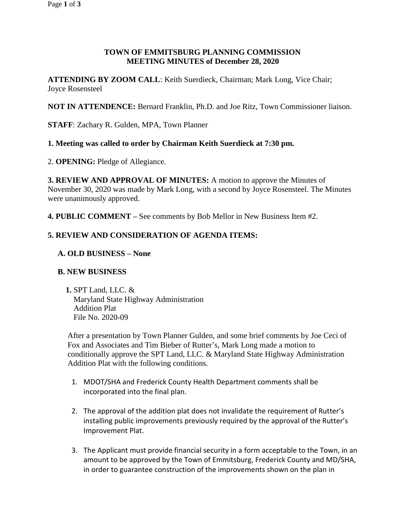# **TOWN OF EMMITSBURG PLANNING COMMISSION MEETING MINUTES of December 28, 2020**

**ATTENDING BY ZOOM CALL**: Keith Suerdieck, Chairman; Mark Long, Vice Chair; Joyce Rosensteel

**NOT IN ATTENDENCE:** Bernard Franklin, Ph.D. and Joe Ritz, Town Commissioner liaison.

**STAFF**: Zachary R. Gulden, MPA, Town Planner

#### **1. Meeting was called to order by Chairman Keith Suerdieck at 7:30 pm.**

2. **OPENING:** Pledge of Allegiance.

**3. REVIEW AND APPROVAL OF MINUTES:** A motion to approve the Minutes of November 30, 2020 was made by Mark Long, with a second by Joyce Rosensteel. The Minutes were unanimously approved.

**4. PUBLIC COMMENT –** See comments by Bob Mellor in New Business Item #2.

# **5. REVIEW AND CONSIDERATION OF AGENDA ITEMS:**

**A. OLD BUSINESS – None**

#### **B. NEW BUSINESS**

**1.** SPT Land, LLC. & Maryland State Highway Administration Addition Plat File No. 2020-09

After a presentation by Town Planner Gulden, and some brief comments by Joe Ceci of Fox and Associates and Tim Bieber of Rutter's, Mark Long made a motion to conditionally approve the SPT Land, LLC. & Maryland State Highway Administration Addition Plat with the following conditions.

- 1. MDOT/SHA and Frederick County Health Department comments shall be incorporated into the final plan.
- 2. The approval of the addition plat does not invalidate the requirement of Rutter's installing public improvements previously required by the approval of the Rutter's Improvement Plat.
- 3. The Applicant must provide financial security in a form acceptable to the Town, in an amount to be approved by the Town of Emmitsburg, Frederick County and MD/SHA, in order to guarantee construction of the improvements shown on the plan in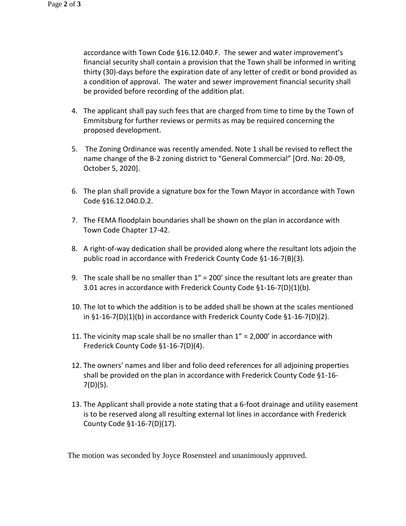accordance with Town Code §16.12.040.F. The sewer and water improvement's financial security shall contain a provision that the Town shall be informed in writing thirty (30)-days before the expiration date of any letter of credit or bond provided as a condition of approval. The water and sewer improvement financial security shall be provided before recording of the addition plat.

- 4. The applicant shall pay such fees that are charged from time to time by the Town of Emmitsburg for further reviews or permits as may be required concerning the proposed development.
- 5. The Zoning Ordinance was recently amended. Note 1 shall be revised to reflect the name change of the B-2 zoning district to "General Commercial" [Ord. No: 20-09, October 5, 2020].
- 6. The plan shall provide a signature box for the Town Mayor in accordance with Town Code §16.12.040.D.2.
- 7. The FEMA floodplain boundaries shall be shown on the plan in accordance with Town Code Chapter 17-42.
- 8. A right-of-way dedication shall be provided along where the resultant lots adjoin the public road in accordance with Frederick County Code §1-16-7(B)(3).
- 9. The scale shall be no smaller than  $1'' = 200'$  since the resultant lots are greater than 3.01 acres in accordance with Frederick County Code §1-16-7(D)(1)(b).
- 10. The lot to which the addition is to be added shall be shown at the scales mentioned in  $\S1-16-7(D)(1)(b)$  in accordance with Frederick County Code  $\S1-16-7(D)(2)$ .
- 11. The vicinity map scale shall be no smaller than  $1'' = 2,000'$  in accordance with Frederick County Code §1-16-7(D)(4).
- 12. The owners' names and liber and folio deed references for all adjoining properties shall be provided on the plan in accordance with Frederick County Code §1-16- 7(D)(5).
- 13. The Applicant shall provide a note stating that a 6-foot drainage and utility easement is to be reserved along all resulting external lot lines in accordance with Frederick County Code §1-16-7(D)(17).

The motion was seconded by Joyce Rosensteel and unanimously approved.